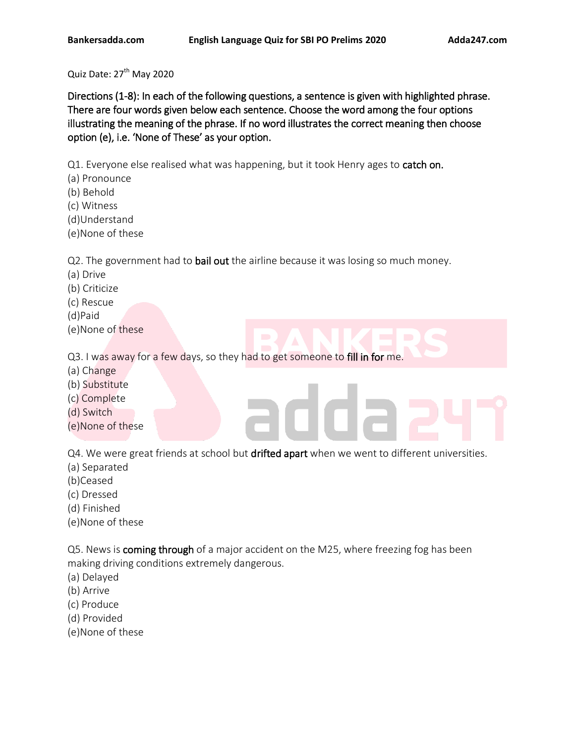Quiz Date: 27<sup>th</sup> May 2020

Directions (1-8): In each of the following questions, a sentence is given with highlighted phrase. There are four words given below each sentence. Choose the word among the four options illustrating the meaning of the phrase. If no word illustrates the correct meaning then choose option (e), i.e. 'None of These' as your option.

Q1. Everyone else realised what was happening, but it took Henry ages to catch on.

- (a) Pronounce
- (b) Behold
- (c) Witness
- (d)Understand
- (e)None of these

Q2. The government had to bail out the airline because it was losing so much money.

- (a) Drive
- (b) Criticize
- (c) Rescue
- (d)Paid
- (e)None of these

Q3. I was away for a few days, so they had to get someone to fill in for me.

- (a) Change
- (b) Substitute
- (c) Complete
- (d) Switch
- (e)None of these

Q4. We were great friends at school but drifted apart when we went to different universities.

- (a) Separated
- (b)Ceased
- (c) Dressed
- (d) Finished
- (e)None of these

Q5. News is **coming through** of a major accident on the M25, where freezing fog has been making driving conditions extremely dangerous.

- (a) Delayed
- (b) Arrive
- (c) Produce
- (d) Provided
- (e)None of these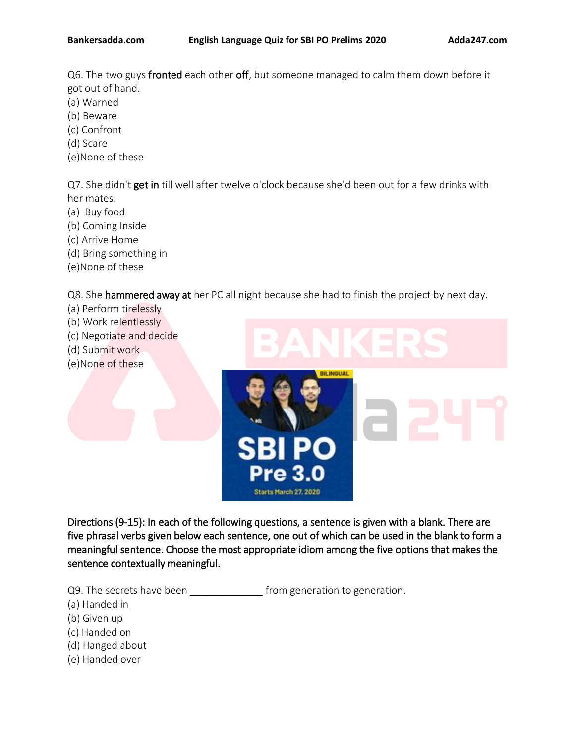Q6. The two guys fronted each other off, but someone managed to calm them down before it got out of hand.

- (a) Warned
- (b) Beware
- (c) Confront
- (d) Scare
- (e)None of these

Q7. She didn't get in till well after twelve o'clock because she'd been out for a few drinks with her mates.

- (a) Buy food
- (b) Coming Inside
- (c) Arrive Home
- (d) Bring something in
- (e)None of these

Q8. She hammered away at her PC all night because she had to finish the project by next day.

- (a) Perform tirelessly
- (b) Work relentlessly
- (c) Negotiate and decide
- (d) Submit work
- (e)None of these



Directions (9-15): In each of the following questions, a sentence is given with a blank. There are five phrasal verbs given below each sentence, one out of which can be used in the blank to form a meaningful sentence. Choose the most appropriate idiom among the five options that makes the sentence contextually meaningful.

Q9. The secrets have been \_\_\_\_\_\_\_\_\_\_\_\_\_\_\_\_ from generation to generation.

(a) Handed in

- (b) Given up
- (c) Handed on
- (d) Hanged about
- (e) Handed over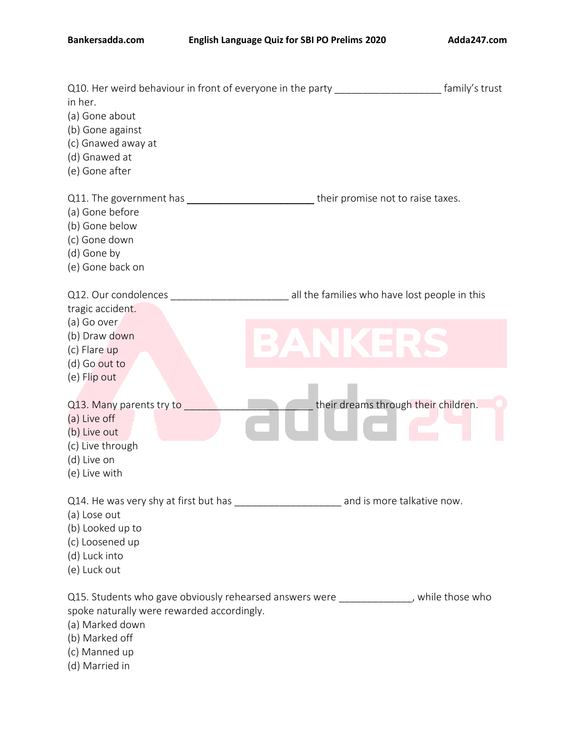# **Bankersadda.com English Language Quiz for SBI PO Prelims 2020 Adda247.com**

| Q10. Her weird behaviour in front of everyone in the party<br>in her.<br>(a) Gone about<br>(b) Gone against                                                                                                                                                                                                             | amily's trust                                 |
|-------------------------------------------------------------------------------------------------------------------------------------------------------------------------------------------------------------------------------------------------------------------------------------------------------------------------|-----------------------------------------------|
| (c) Gnawed away at<br>(d) Gnawed at<br>(e) Gone after                                                                                                                                                                                                                                                                   |                                               |
| Q11. The government has example the state of the state of the state of the state of the state of the state of the state of the state of the state of the state of the state of the state of the state of the state of the stat<br>(a) Gone before<br>(b) Gone below<br>(c) Gone down<br>(d) Gone by<br>(e) Gone back on | their promise not to raise taxes.             |
| Q12. Our condolences<br>tragic accident.                                                                                                                                                                                                                                                                                | all the families who have lost people in this |
| (a) Go over<br>(b) Draw down<br>$\Box$<br>(c) Flare up<br>(d) Go out to<br>(e) Flip out                                                                                                                                                                                                                                 | $\mathcal{L}(\mathcal{A})$                    |
| Q13. Many parents try to<br>(a) Live off<br>(b) Live out<br>(c) Live through                                                                                                                                                                                                                                            | their dreams through their children.          |
| (d) Live on<br>(e) Live with                                                                                                                                                                                                                                                                                            |                                               |
| Q14. He was very shy at first but has ________________________ and is more talkative now.<br>(a) Lose out<br>(b) Looked up to<br>(c) Loosened up<br>(d) Luck into<br>(e) Luck out                                                                                                                                       |                                               |
| Q15. Students who gave obviously rehearsed answers were ______________, while those who<br>spoke naturally were rewarded accordingly.<br>(a) Marked down<br>(b) Marked off<br>(c) Manned up<br>(d) Married in                                                                                                           |                                               |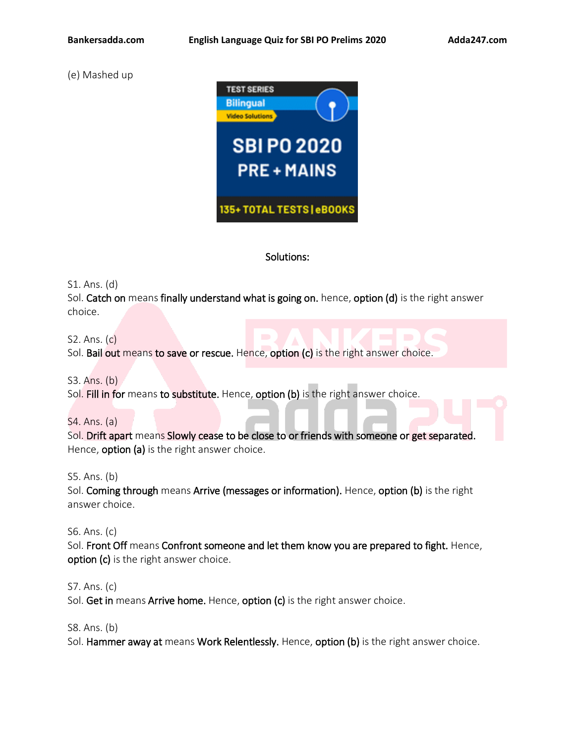(e) Mashed up



# Solutions:

S1. Ans. (d)

Sol. Catch on means finally understand what is going on. hence, option (d) is the right answer choice.

S2. Ans. (c)

Sol. Bail out means to save or rescue. Hence, option (c) is the right answer choice.

S3. Ans. (b) Sol. Fill in for means to substitute. Hence, option (b) is the right answer choice.

S4. Ans. (a)

Sol. Drift apart means Slowly cease to be close to or friends with someone or get separated. Hence, **option (a)** is the right answer choice.

S5. Ans. (b)

Sol. Coming through means Arrive (messages or information). Hence, option (b) is the right answer choice.

S6. Ans. (c)

Sol. Front Off means Confront someone and let them know you are prepared to fight. Hence, option (c) is the right answer choice.

S7. Ans. (c) Sol. Get in means Arrive home. Hence, option (c) is the right answer choice.

S8. Ans. (b)

Sol. Hammer away at means Work Relentlessly. Hence, option (b) is the right answer choice.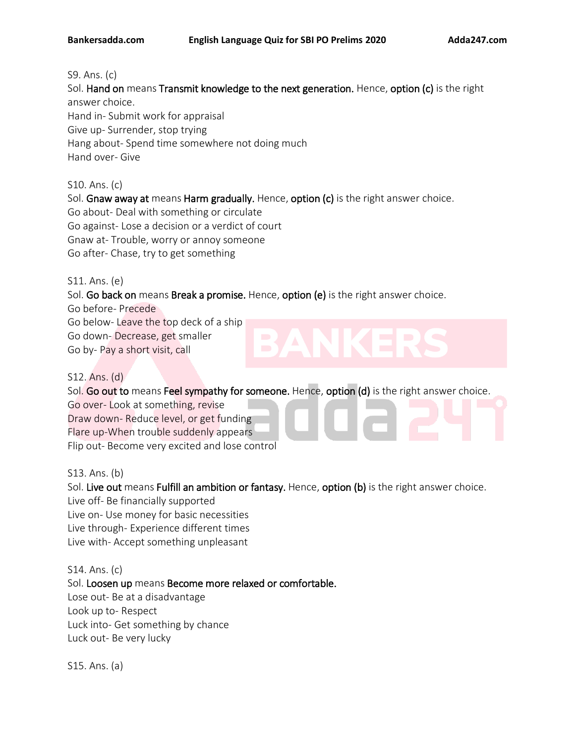### S9. Ans. (c)

Sol. Hand on means Transmit knowledge to the next generation. Hence, option (c) is the right answer choice. Hand in- Submit work for appraisal Give up- Surrender, stop trying Hang about- Spend time somewhere not doing much

Hand over- Give

S10. Ans. (c) Sol. Gnaw away at means Harm gradually. Hence, option (c) is the right answer choice. Go about- Deal with something or circulate Go against- Lose a decision or a verdict of court Gnaw at- Trouble, worry or annoy someone Go after- Chase, try to get something

S11. Ans. (e)

Sol. Go back on means Break a promise. Hence, option (e) is the right answer choice.

Go before- Precede Go below- Leave the top deck of a ship Go down- Decrease, get smaller Go by- Pay a short visit, call

S12. Ans. (d)

Sol. Go out to means Feel sympathy for someone. Hence, option (d) is the right answer choice.

Go over- Look at something, revise Draw down- Reduce level, or get funding Flare up-When trouble suddenly appears

Flip out- Become very excited and lose control

S13. Ans. (b)

Sol. Live out means Fulfill an ambition or fantasy. Hence, option (b) is the right answer choice.

Live off- Be financially supported

Live on- Use money for basic necessities

Live through- Experience different times

Live with- Accept something unpleasant

S14. Ans. (c)

Sol. Loosen up means Become more relaxed or comfortable.

Lose out- Be at a disadvantage

Look up to- Respect

Luck into- Get something by chance

Luck out- Be very lucky

S15. Ans. (a)